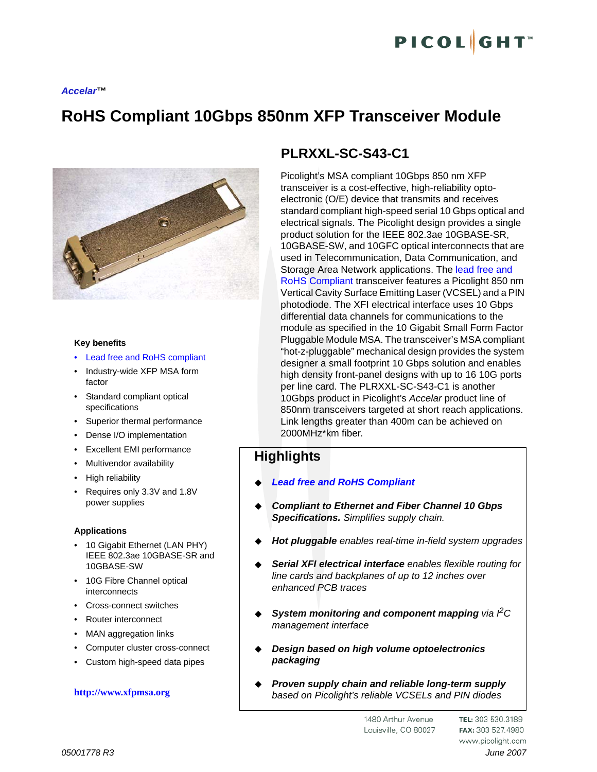#### *Accelar™*

# **RoHS Compliant 10Gbps 850nm XFP Transceiver Module**



### **Key benefits**

- Lead free and RoHS compliant
- Industry-wide XFP MSA form factor
- Standard compliant optical specifications
- Superior thermal performance
- Dense I/O implementation
- Excellent EMI performance
- Multivendor availability
- High reliability
- Requires only 3.3V and 1.8V power supplies

### **Applications**

- 10 Gigabit Ethernet (LAN PHY) IEEE 802.3ae 10GBASE-SR and 10GBASE-SW
- 10G Fibre Channel optical interconnects
- Cross-connect switches
- Router interconnect
- MAN aggregation links
- Computer cluster cross-connect
- Custom high-speed data pipes

### **http://www.xfpmsa.org**

# **PLRXXL-SC-S43-C1**

Picolight's MSA compliant 10Gbps 850 nm XFP transceiver is a cost-effective, high-reliability optoelectronic (O/E) device that transmits and receives standard compliant high-speed serial 10 Gbps optical and electrical signals. The Picolight design provides a single product solution for the IEEE 802.3ae 10GBASE-SR, 10GBASE-SW, and 10GFC optical interconnects that are used in Telecommunication, Data Communication, and Storage Area Network applications. The lead free and RoHS Compliant transceiver features a Picolight 850 nm Vertical Cavity Surface Emitting Laser (VCSEL) and a PIN photodiode. The XFI electrical interface uses 10 Gbps differential data channels for communications to the module as specified in the 10 Gigabit Small Form Factor Pluggable Module MSA. The transceiver's MSA compliant "hot-z-pluggable" mechanical design provides the system designer a small footprint 10 Gbps solution and enables high density front-panel designs with up to 16 10G ports per line card. The PLRXXL-SC-S43-C1 is another 10Gbps product in Picolight's *Accelar* product line of 850nm transceivers targeted at short reach applications. Link lengths greater than 400m can be achieved on 2000MHz\*km fiber.

# **Highlights**

- *Lead free and RoHS Compliant*
- *Compliant to Ethernet and Fiber Channel 10 Gbps Specifications. Simplifies supply chain.*
- *Hot pluggable enables real-time in-field system upgrades*
- *Serial XFI electrical interface enables flexible routing for line cards and backplanes of up to 12 inches over enhanced PCB traces*
- *System monitoring and component mapping via I2C management interface*
- *Design based on high volume optoelectronics packaging*
- *Proven supply chain and reliable long-term supply based on Picolight's reliable VCSELs and PIN diodes*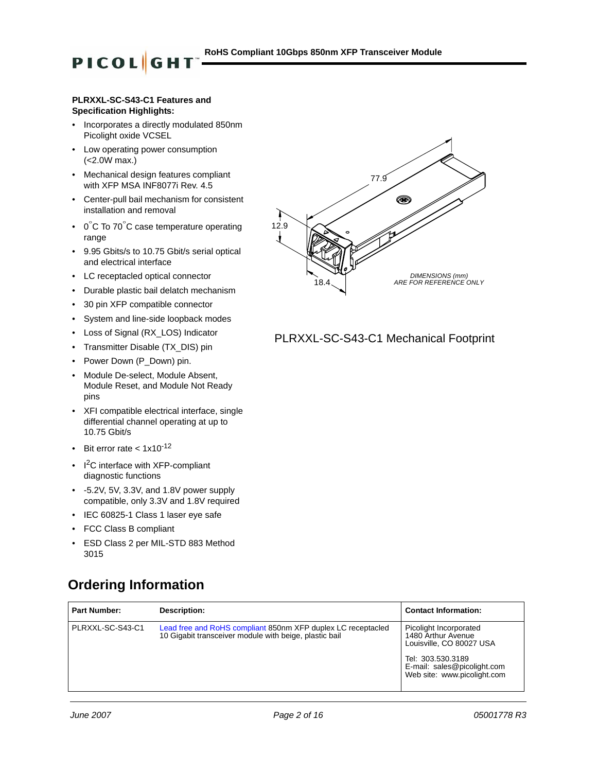### **PLRXXL-SC-S43-C1 Features and Specification Highlights:**

**PICOL**GH

- Incorporates a directly modulated 850nm Picolight oxide VCSEL
- Low operating power consumption (<2.0W max.)
- Mechanical design features compliant with XFP MSA INF8077i Rev. 4.5
- Center-pull bail mechanism for consistent installation and removal
- 0°C To 70°C case temperature operating range
- 9.95 Gbits/s to 10.75 Gbit/s serial optical and electrical interface
- LC receptacled optical connector
- Durable plastic bail delatch mechanism
- 30 pin XFP compatible connector
- System and line-side loopback modes
- Loss of Signal (RX\_LOS) Indicator
- Transmitter Disable (TX\_DIS) pin
- Power Down (P\_Down) pin.
- Module De-select, Module Absent, Module Reset, and Module Not Ready pins
- XFI compatible electrical interface, single differential channel operating at up to 10.75 Gbit/s
- Bit error rate  $< 1 \times 10^{-12}$
- $I<sup>2</sup>C$  interface with XFP-compliant diagnostic functions
- -5.2V, 5V, 3.3V, and 1.8V power supply compatible, only 3.3V and 1.8V required
- IEC 60825-1 Class 1 laser eye safe
- FCC Class B compliant
- ESD Class 2 per MIL-STD 883 Method 3015

# **Ordering Information**





## PLRXXL-SC-S43-C1 Mechanical Footprint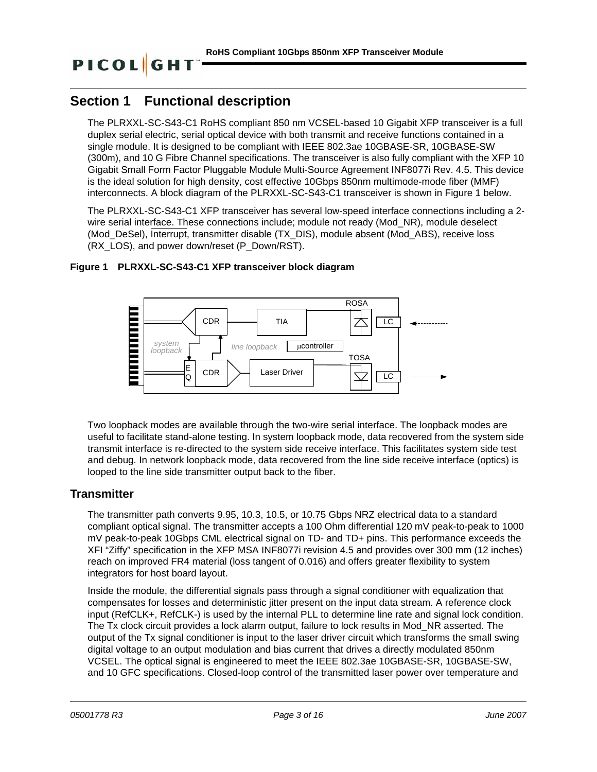### **RoHS Compliant 10Gbps 850nm XFP Transceiver Module**

# **Section 1 Functional description**

The PLRXXL-SC-S43-C1 RoHS compliant 850 nm VCSEL-based 10 Gigabit XFP transceiver is a full duplex serial electric, serial optical device with both transmit and receive functions contained in a single module. It is designed to be compliant with IEEE 802.3ae 10GBASE-SR, 10GBASE-SW (300m), and 10 G Fibre Channel specifications. The transceiver is also fully compliant with the XFP 10 Gigabit Small Form Factor Pluggable Module Multi-Source Agreement INF8077i Rev. 4.5. This device is the ideal solution for high density, cost effective 10Gbps 850nm multimode-mode fiber (MMF) interconnects. A block diagram of the PLRXXL-SC-S43-C1 transceiver is shown in Figure 1 below.

The PLRXXL-SC-S43-C1 XFP transceiver has several low-speed interface connections including a 2 wire serial interface. These connections include; module not ready (Mod\_NR), module deselect (Mod\_DeSel), Interrupt, transmitter disable (TX\_DIS), module absent (Mod\_ABS), receive loss (RX\_LOS), and power down/reset (P\_Down/RST).

## **Figure 1 PLRXXL-SC-S43-C1 XFP transceiver block diagram**



Two loopback modes are available through the two-wire serial interface. The loopback modes are useful to facilitate stand-alone testing. In system loopback mode, data recovered from the system side transmit interface is re-directed to the system side receive interface. This facilitates system side test and debug. In network loopback mode, data recovered from the line side receive interface (optics) is looped to the line side transmitter output back to the fiber.

# **Transmitter**

The transmitter path converts 9.95, 10.3, 10.5, or 10.75 Gbps NRZ electrical data to a standard compliant optical signal. The transmitter accepts a 100 Ohm differential 120 mV peak-to-peak to 1000 mV peak-to-peak 10Gbps CML electrical signal on TD- and TD+ pins. This performance exceeds the XFI "Ziffy" specification in the XFP MSA INF8077i revision 4.5 and provides over 300 mm (12 inches) reach on improved FR4 material (loss tangent of 0.016) and offers greater flexibility to system integrators for host board layout.

Inside the module, the differential signals pass through a signal conditioner with equalization that compensates for losses and deterministic jitter present on the input data stream. A reference clock input (RefCLK+, RefCLK-) is used by the internal PLL to determine line rate and signal lock condition. The Tx clock circuit provides a lock alarm output, failure to lock results in Mod\_NR asserted. The output of the Tx signal conditioner is input to the laser driver circuit which transforms the small swing digital voltage to an output modulation and bias current that drives a directly modulated 850nm VCSEL. The optical signal is engineered to meet the IEEE 802.3ae 10GBASE-SR, 10GBASE-SW, and 10 GFC specifications. Closed-loop control of the transmitted laser power over temperature and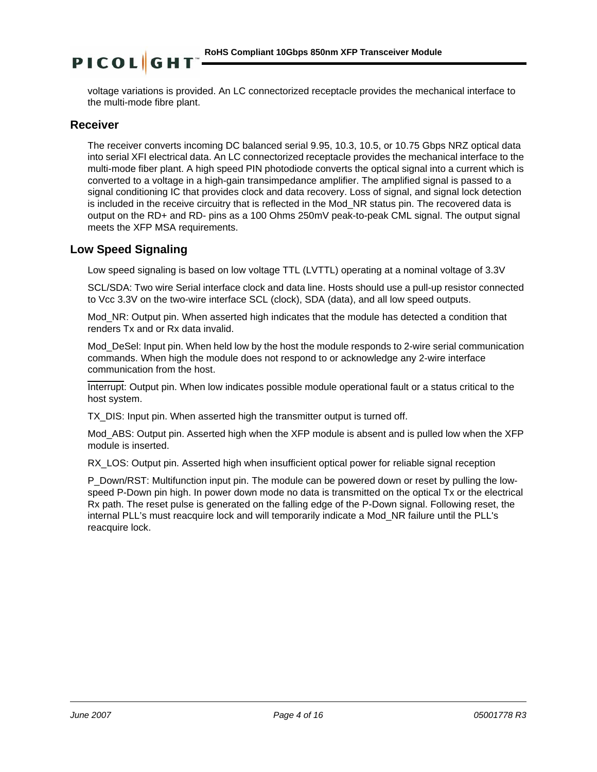voltage variations is provided. An LC connectorized receptacle provides the mechanical interface to the multi-mode fibre plant.

## **Receiver**

The receiver converts incoming DC balanced serial 9.95, 10.3, 10.5, or 10.75 Gbps NRZ optical data into serial XFI electrical data. An LC connectorized receptacle provides the mechanical interface to the multi-mode fiber plant. A high speed PIN photodiode converts the optical signal into a current which is converted to a voltage in a high-gain transimpedance amplifier. The amplified signal is passed to a signal conditioning IC that provides clock and data recovery. Loss of signal, and signal lock detection is included in the receive circuitry that is reflected in the Mod\_NR status pin. The recovered data is output on the RD+ and RD- pins as a 100 Ohms 250mV peak-to-peak CML signal. The output signal meets the XFP MSA requirements.

# **Low Speed Signaling**

Low speed signaling is based on low voltage TTL (LVTTL) operating at a nominal voltage of 3.3V

SCL/SDA: Two wire Serial interface clock and data line. Hosts should use a pull-up resistor connected to Vcc 3.3V on the two-wire interface SCL (clock), SDA (data), and all low speed outputs.

Mod\_NR: Output pin. When asserted high indicates that the module has detected a condition that renders Tx and or Rx data invalid.

Mod DeSel: Input pin. When held low by the host the module responds to 2-wire serial communication commands. When high the module does not respond to or acknowledge any 2-wire interface communication from the host.

Interrupt: Output pin. When low indicates possible module operational fault or a status critical to the host system.

TX DIS: Input pin. When asserted high the transmitter output is turned off.

Mod\_ABS: Output pin. Asserted high when the XFP module is absent and is pulled low when the XFP module is inserted.

RX LOS: Output pin. Asserted high when insufficient optical power for reliable signal reception

P\_Down/RST: Multifunction input pin. The module can be powered down or reset by pulling the lowspeed P-Down pin high. In power down mode no data is transmitted on the optical Tx or the electrical Rx path. The reset pulse is generated on the falling edge of the P-Down signal. Following reset, the internal PLL's must reacquire lock and will temporarily indicate a Mod\_NR failure until the PLL's reacquire lock.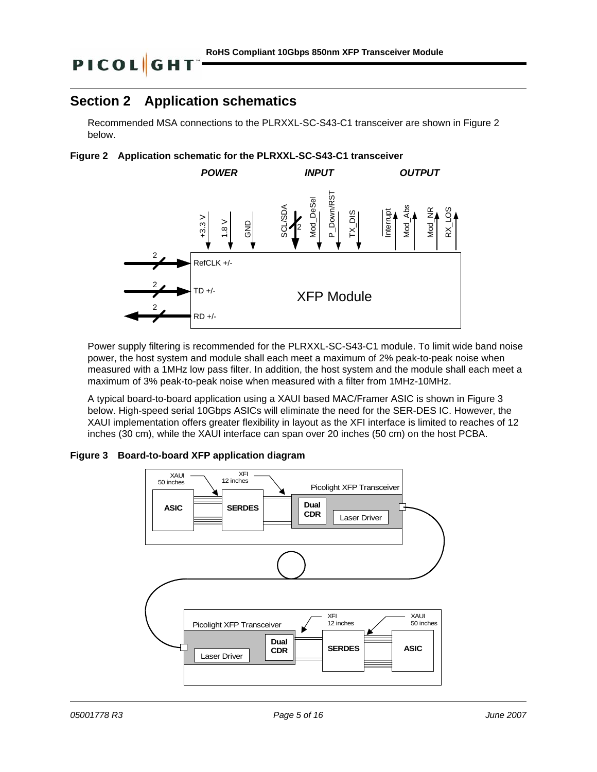# **Section 2 Application schematics**

Recommended MSA connections to the PLRXXL-SC-S43-C1 transceiver are shown in Figure 2 below.





Power supply filtering is recommended for the PLRXXL-SC-S43-C1 module. To limit wide band noise power, the host system and module shall each meet a maximum of 2% peak-to-peak noise when measured with a 1MHz low pass filter. In addition, the host system and the module shall each meet a maximum of 3% peak-to-peak noise when measured with a filter from 1MHz-10MHz.

A typical board-to-board application using a XAUI based MAC/Framer ASIC is shown in Figure 3 below. High-speed serial 10Gbps ASICs will eliminate the need for the SER-DES IC. However, the XAUI implementation offers greater flexibility in layout as the XFI interface is limited to reaches of 12 inches (30 cm), while the XAUI interface can span over 20 inches (50 cm) on the host PCBA.

### **Figure 3 Board-to-board XFP application diagram**

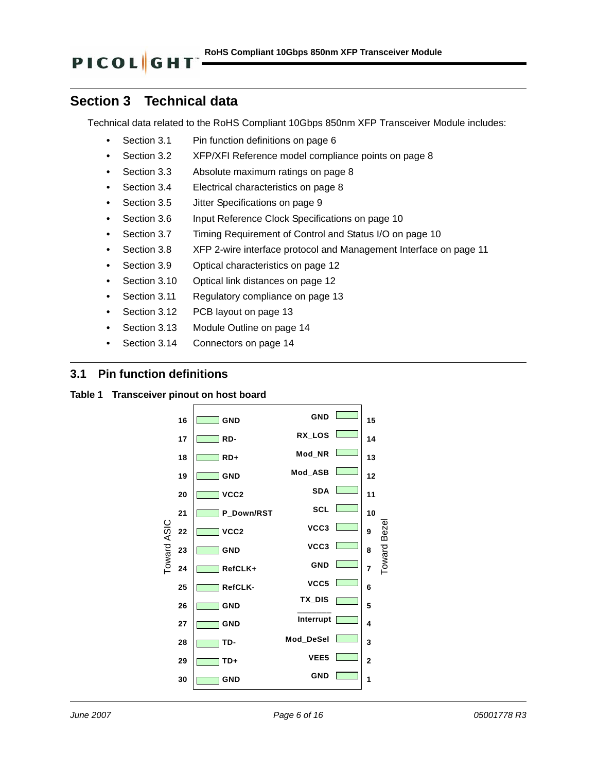# **Section 3 Technical data**

Technical data related to the RoHS Compliant 10Gbps 850nm XFP Transceiver Module includes:

- **•** [Section 3.1 Pin function definitions on page 6](#page-5-0)
- **•** [Section 3.2 XFP/XFI Reference model compliance points on page 8](#page-7-0)
- **•** [Section 3.3 Absolute maximum ratings on page 8](#page-7-1)
- **•** [Section 3.4 Electrical characteristics on page 8](#page-7-2)
- **•** [Section 3.5 Jitter Specifications on page 9](#page-8-0)
- **•** Section 3.6 Input Reference Clock Specifications on page 10
- **•** Section 3.7 Timing Requirement of Control and Status I/O on page 10
- **•** [Section 3.8 XFP 2-wire interface protocol and Management Interface on page 11](#page-10-0)
- **•** [Section 3.9 Optical characteristics on page 12](#page-11-0)
- **•** [Section 3.10 Optical link distances on page 12](#page-11-1)
- **•** [Section 3.11 Regulatory compliance on page 13](#page-12-0)
- **•** [Section 3.12 PCB layout on page 13](#page-12-1)
- **•** [Section 3.13 Module Outline on page 14](#page-13-0)
- **•** [Section 3.14 Connectors on page 14](#page-13-1)

## <span id="page-5-0"></span>**3.1 Pin function definitions**

### **Table 1 Transceiver pinout on host board**

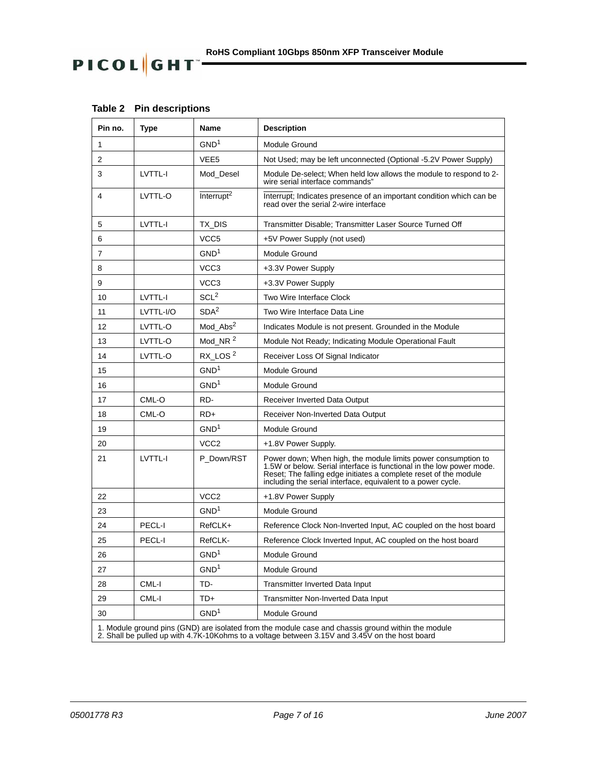| Pin no. | <b>Type</b>                                                                                                                                                                                          | Name                   | <b>Description</b>                                                                                                                                                                                                                                                        |  |  |  |  |
|---------|------------------------------------------------------------------------------------------------------------------------------------------------------------------------------------------------------|------------------------|---------------------------------------------------------------------------------------------------------------------------------------------------------------------------------------------------------------------------------------------------------------------------|--|--|--|--|
| 1       |                                                                                                                                                                                                      | GND <sup>1</sup>       | Module Ground                                                                                                                                                                                                                                                             |  |  |  |  |
| 2       |                                                                                                                                                                                                      | VEE <sub>5</sub>       | Not Used; may be left unconnected (Optional -5.2V Power Supply)                                                                                                                                                                                                           |  |  |  |  |
| 3       | LVTTL-I                                                                                                                                                                                              | Mod_Desel              | Module De-select; When held low allows the module to respond to 2-<br>wire serial interface commands"                                                                                                                                                                     |  |  |  |  |
| 4       | LVTTL-O                                                                                                                                                                                              | Interrupt <sup>2</sup> | Interrupt; Indicates presence of an important condition which can be<br>read over the serial 2-wire interface                                                                                                                                                             |  |  |  |  |
| 5       | LVTTL-I                                                                                                                                                                                              | TX DIS                 | Transmitter Disable: Transmitter Laser Source Turned Off                                                                                                                                                                                                                  |  |  |  |  |
| 6       |                                                                                                                                                                                                      | VCC <sub>5</sub>       | +5V Power Supply (not used)                                                                                                                                                                                                                                               |  |  |  |  |
| 7       |                                                                                                                                                                                                      | GND <sup>1</sup>       | Module Ground                                                                                                                                                                                                                                                             |  |  |  |  |
| 8       |                                                                                                                                                                                                      | VCC <sub>3</sub>       | +3.3V Power Supply                                                                                                                                                                                                                                                        |  |  |  |  |
| 9       |                                                                                                                                                                                                      | VCC <sub>3</sub>       | +3.3V Power Supply                                                                                                                                                                                                                                                        |  |  |  |  |
| 10      | LVTTL-I                                                                                                                                                                                              | SCL <sup>2</sup>       | Two Wire Interface Clock                                                                                                                                                                                                                                                  |  |  |  |  |
| 11      | LVTTL-I/O                                                                                                                                                                                            | SDA <sup>2</sup>       | Two Wire Interface Data Line                                                                                                                                                                                                                                              |  |  |  |  |
| 12      | LVTTL-O                                                                                                                                                                                              | Mod_Abs <sup>2</sup>   | Indicates Module is not present. Grounded in the Module                                                                                                                                                                                                                   |  |  |  |  |
| 13      | LVTTL-O                                                                                                                                                                                              | Mod_NR <sup>2</sup>    | Module Not Ready; Indicating Module Operational Fault                                                                                                                                                                                                                     |  |  |  |  |
| 14      | LVTTL-O                                                                                                                                                                                              | RX_LOS <sup>2</sup>    | Receiver Loss Of Signal Indicator                                                                                                                                                                                                                                         |  |  |  |  |
| 15      |                                                                                                                                                                                                      | GND <sup>1</sup>       | Module Ground                                                                                                                                                                                                                                                             |  |  |  |  |
| 16      |                                                                                                                                                                                                      | GND <sup>1</sup>       | Module Ground                                                                                                                                                                                                                                                             |  |  |  |  |
| 17      | CML-O                                                                                                                                                                                                | RD-                    | Receiver Inverted Data Output                                                                                                                                                                                                                                             |  |  |  |  |
| 18      | CML-O                                                                                                                                                                                                | $RD+$                  | Receiver Non-Inverted Data Output                                                                                                                                                                                                                                         |  |  |  |  |
| 19      |                                                                                                                                                                                                      | GND <sup>1</sup>       | Module Ground                                                                                                                                                                                                                                                             |  |  |  |  |
| 20      |                                                                                                                                                                                                      | VCC <sub>2</sub>       | +1.8V Power Supply.                                                                                                                                                                                                                                                       |  |  |  |  |
| 21      | LVTTL-I                                                                                                                                                                                              | P Down/RST             | Power down; When high, the module limits power consumption to<br>1.5W or below. Serial interface is functional in the low power mode.<br>Reset; The falling edge initiates a complete reset of the module<br>including the serial interface, equivalent to a power cycle. |  |  |  |  |
| 22      |                                                                                                                                                                                                      | VCC <sub>2</sub>       | +1.8V Power Supply                                                                                                                                                                                                                                                        |  |  |  |  |
| 23      |                                                                                                                                                                                                      | GND <sup>1</sup>       | Module Ground                                                                                                                                                                                                                                                             |  |  |  |  |
| 24      | PECL-I                                                                                                                                                                                               | RefCLK+                | Reference Clock Non-Inverted Input, AC coupled on the host board                                                                                                                                                                                                          |  |  |  |  |
| 25      | PECL-I                                                                                                                                                                                               | RefCLK-                | Reference Clock Inverted Input, AC coupled on the host board                                                                                                                                                                                                              |  |  |  |  |
| 26      |                                                                                                                                                                                                      | GND <sup>1</sup>       | Module Ground                                                                                                                                                                                                                                                             |  |  |  |  |
| 27      |                                                                                                                                                                                                      | GND <sup>1</sup>       | Module Ground                                                                                                                                                                                                                                                             |  |  |  |  |
| 28      | CML-I                                                                                                                                                                                                | TD-                    | Transmitter Inverted Data Input                                                                                                                                                                                                                                           |  |  |  |  |
| 29      | CML-I                                                                                                                                                                                                | TD+                    | <b>Transmitter Non-Inverted Data Input</b>                                                                                                                                                                                                                                |  |  |  |  |
| 30      |                                                                                                                                                                                                      | GND <sup>1</sup>       | Module Ground                                                                                                                                                                                                                                                             |  |  |  |  |
|         | 1. Module ground pins (GND) are isolated from the module case and chassis ground within the module<br>2. Shall be pulled up with 4.7K-10Kohms to a voltage between 3.15V and 3.45V on the host board |                        |                                                                                                                                                                                                                                                                           |  |  |  |  |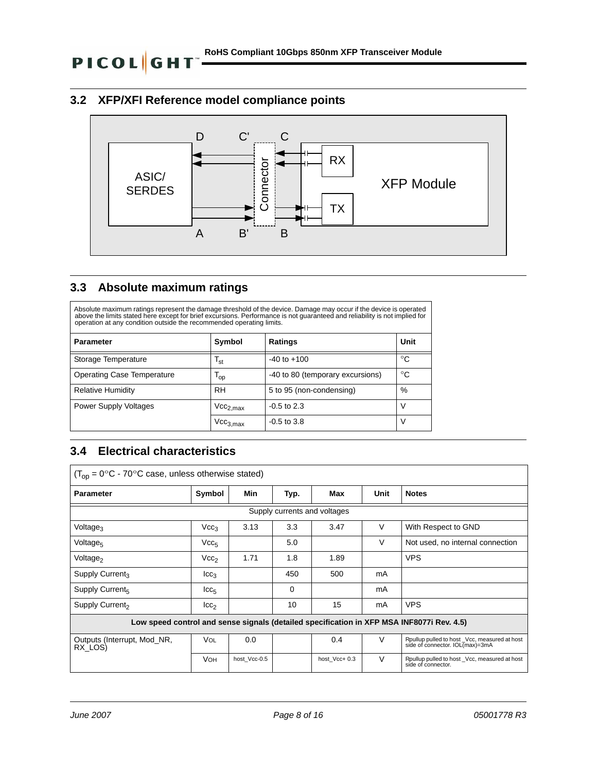# <span id="page-7-0"></span>**3.2 XFP/XFI Reference model compliance points**



# <span id="page-7-1"></span>**3.3 Absolute maximum ratings**

Absolute maximum ratings represent the damage threshold of the device. Damage may occur if the device is operated above the limits stated here except for brief excursions. Performance is not guaranteed and reliability is not implied for operation at any condition outside the recommended operating limits.

| <b>Parameter</b>                  | Symbol                          | <b>Ratings</b>                   | Unit |
|-----------------------------------|---------------------------------|----------------------------------|------|
| Storage Temperature               | <sup>I</sup> st                 | $-40$ to $+100$                  | °C   |
| <b>Operating Case Temperature</b> | $\mathsf{I}_{\mathsf{op}}$      | -40 to 80 (temporary excursions) | °C   |
| <b>Relative Humidity</b>          | <b>RH</b>                       | 5 to 95 (non-condensing)         | %    |
| Power Supply Voltages             | $\mathsf{Vcc}_{2,\mathsf{max}}$ | $-0.5$ to 2.3                    |      |
|                                   | $Vcc_{3,max}$                   | $-0.5$ to 3.8                    |      |

# <span id="page-7-2"></span>**3.4 Electrical characteristics**

| $(T_{\rm op} = 0^{\circ}C - 70^{\circ}C$ case, unless otherwise stated)                   |                              |              |      |               |        |                                                                                  |  |  |
|-------------------------------------------------------------------------------------------|------------------------------|--------------|------|---------------|--------|----------------------------------------------------------------------------------|--|--|
| <b>Parameter</b>                                                                          | Symbol                       | Min          | Typ. | Max           | Unit   | <b>Notes</b>                                                                     |  |  |
|                                                                                           | Supply currents and voltages |              |      |               |        |                                                                                  |  |  |
| Voltage <sub>3</sub>                                                                      | Vec <sub>3</sub>             | 3.13         | 3.3  | 3.47          | V      | With Respect to GND                                                              |  |  |
| Voltage <sub>5</sub>                                                                      | Vcc <sub>5</sub>             |              | 5.0  |               | $\vee$ | Not used, no internal connection                                                 |  |  |
| Voltage <sub>2</sub>                                                                      | Vcc <sub>2</sub>             | 1.71         | 1.8  | 1.89          |        | <b>VPS</b>                                                                       |  |  |
| Supply Current <sub>3</sub>                                                               | $_{\rm lcc_3}$               |              | 450  | 500           | mA     |                                                                                  |  |  |
| Supply Current <sub>5</sub>                                                               | $_{\text{ICC}_5}$            |              | 0    |               | mA     |                                                                                  |  |  |
| Supply Current <sub>2</sub>                                                               | $_{\text{lcc}_2}$            |              | 10   | 15            | mA     | <b>VPS</b>                                                                       |  |  |
| Low speed control and sense signals (detailed specification in XFP MSA INF8077i Rev. 4.5) |                              |              |      |               |        |                                                                                  |  |  |
| Outputs (Interrupt, Mod_NR,<br>RX_LOS)                                                    | VOL                          | 0.0          |      | 0.4           | $\vee$ | Rpullup pulled to host _Vcc, measured at host<br>side of connector. IOL(max)=3mA |  |  |
|                                                                                           | <b>VOH</b>                   | host Vcc-0.5 |      | host Vcc+ 0.3 | $\vee$ | Rpullup pulled to host _Vcc, measured at host<br>side of connector.              |  |  |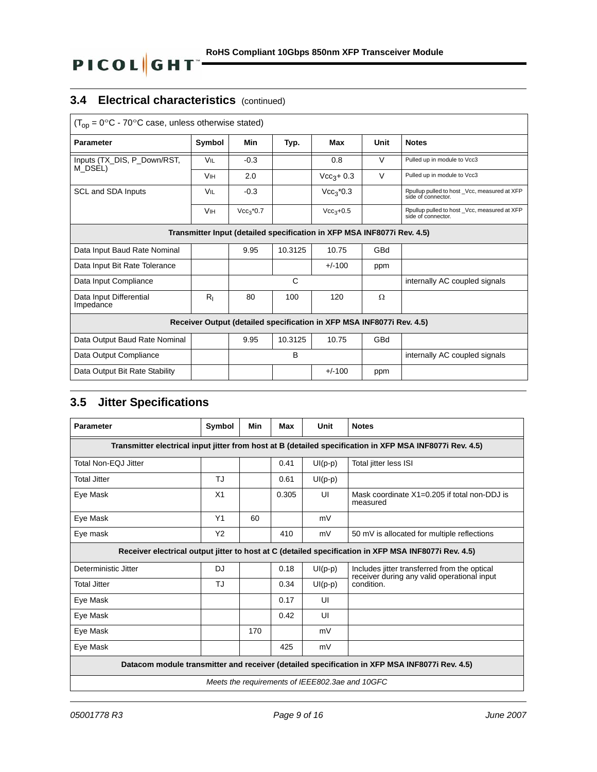# **3.4 Electrical characteristics** (continued)

| $(T_{op} = 0$ °C - 70 °C case, unless otherwise stated)                 |                       |             |         |              |        |                                                                    |  |
|-------------------------------------------------------------------------|-----------------------|-------------|---------|--------------|--------|--------------------------------------------------------------------|--|
| <b>Parameter</b>                                                        | Symbol                | Min         | Typ.    | Max          | Unit   | <b>Notes</b>                                                       |  |
| Inputs (TX_DIS, P_Down/RST,<br>M_DSEL)                                  | <b>VIL</b>            | $-0.3$      |         | 0.8          | $\vee$ | Pulled up in module to Vcc3                                        |  |
|                                                                         | <b>V<sub>IH</sub></b> | 2.0         |         | $Vec3 + 0.3$ | $\vee$ | Pulled up in module to Vcc3                                        |  |
| SCL and SDA Inputs                                                      | VIL                   | $-0.3$      |         | $Vcc_3*0.3$  |        | Rpullup pulled to host _Vcc, measured at XFP<br>side of connector. |  |
|                                                                         | <b>V<sub>IH</sub></b> | $Vcc_3*0.7$ |         | $Vcc3+0.5$   |        | Rpullup pulled to host Vcc, measured at XFP<br>side of connector.  |  |
| Transmitter Input (detailed specification in XFP MSA INF8077i Rev. 4.5) |                       |             |         |              |        |                                                                    |  |
| Data Input Baud Rate Nominal                                            |                       | 9.95        | 10.3125 | 10.75        | GBd    |                                                                    |  |
| Data Input Bit Rate Tolerance                                           |                       |             |         | $+/-100$     | ppm    |                                                                    |  |
| Data Input Compliance                                                   |                       |             | C       |              |        | internally AC coupled signals                                      |  |
| Data Input Differential<br>Impedance                                    | $R_{I}$               | 80          | 100     | 120          | Ω      |                                                                    |  |
| Receiver Output (detailed specification in XFP MSA INF8077i Rev. 4.5)   |                       |             |         |              |        |                                                                    |  |
| Data Output Baud Rate Nominal                                           |                       | 9.95        | 10.3125 | 10.75        | GBd    |                                                                    |  |
| Data Output Compliance                                                  |                       |             | B       |              |        | internally AC coupled signals                                      |  |
| Data Output Bit Rate Stability                                          |                       |             |         | $+/-100$     | ppm    |                                                                    |  |

# <span id="page-8-0"></span>**3.5 Jitter Specifications**

| <b>Parameter</b>                                                                                         | Symbol         | Min | Max   | Unit      | <b>Notes</b>                                                                                |  |  |
|----------------------------------------------------------------------------------------------------------|----------------|-----|-------|-----------|---------------------------------------------------------------------------------------------|--|--|
| Transmitter electrical input jitter from host at B (detailed specification in XFP MSA INF8077i Rev. 4.5) |                |     |       |           |                                                                                             |  |  |
| Total Non-EQJ Jitter                                                                                     |                |     | 0.41  | $UI(p-p)$ | Total jitter less ISI                                                                       |  |  |
| <b>Total Jitter</b>                                                                                      | TJ             |     | 0.61  | $UI(p-p)$ |                                                                                             |  |  |
| Eye Mask                                                                                                 | X <sub>1</sub> |     | 0.305 | UI        | Mask coordinate $X1=0.205$ if total non-DDJ is<br>measured                                  |  |  |
| Eye Mask                                                                                                 | Y <sub>1</sub> | 60  |       | mV        |                                                                                             |  |  |
| Eye mask                                                                                                 | Y <sub>2</sub> |     | 410   | mV        | 50 mV is allocated for multiple reflections                                                 |  |  |
| Receiver electrical output jitter to host at C (detailed specification in XFP MSA INF8077i Rev. 4.5)     |                |     |       |           |                                                                                             |  |  |
| Deterministic Jitter                                                                                     | <b>DJ</b>      |     | 0.18  | $UI(p-p)$ | Includes jitter transferred from the optical<br>receiver during any valid operational input |  |  |
| <b>Total Jitter</b>                                                                                      | TJ             |     | 0.34  | $UI(p-p)$ | condition.                                                                                  |  |  |
| Eye Mask                                                                                                 |                |     | 0.17  | UI        |                                                                                             |  |  |
| Eye Mask                                                                                                 |                |     | 0.42  | UI        |                                                                                             |  |  |
| Eye Mask                                                                                                 |                | 170 |       | mV        |                                                                                             |  |  |
| Eye Mask                                                                                                 |                |     | 425   | mV        |                                                                                             |  |  |
| Datacom module transmitter and receiver (detailed specification in XFP MSA INF8077i Rev. 4.5)            |                |     |       |           |                                                                                             |  |  |
| Meets the requirements of IEEE802.3ae and 10GFC                                                          |                |     |       |           |                                                                                             |  |  |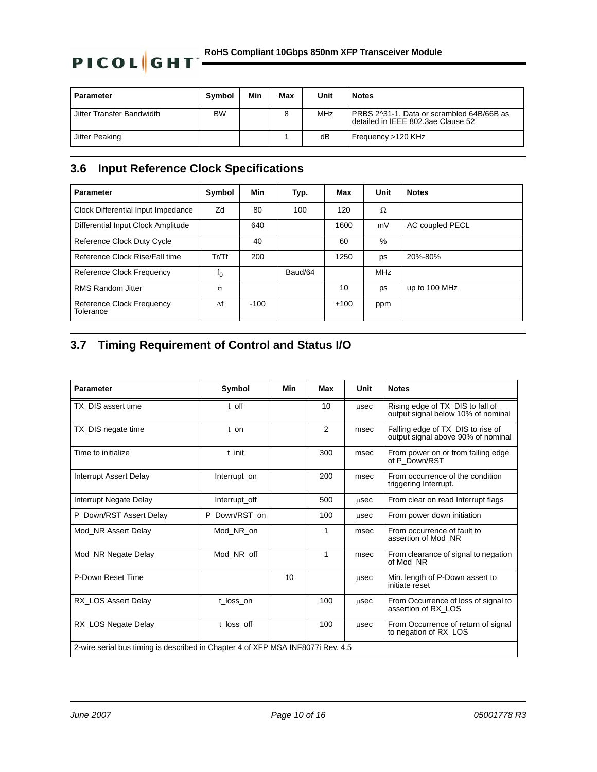# **PICOL GHT** <u>COMS</u> Compliant 10Gbps 850nm XFP Transceiver Module

| <b>Parameter</b>          | Symbol    | Min | Max | Unit       | <b>Notes</b>                                                                    |
|---------------------------|-----------|-----|-----|------------|---------------------------------------------------------------------------------|
| Jitter Transfer Bandwidth | <b>BW</b> |     |     | <b>MHz</b> | PRBS 2^31-1, Data or scrambled 64B/66B as<br>detailed in IEEE 802.3ae Clause 52 |
| Jitter Peaking            |           |     |     | dB         | Frequency >120 KHz                                                              |

# **3.6 Input Reference Clock Specifications**

| <b>Parameter</b>                       | Symbol   | Min    | Typ.    | Max    | Unit       | <b>Notes</b>    |
|----------------------------------------|----------|--------|---------|--------|------------|-----------------|
| Clock Differential Input Impedance     | Zd       | 80     | 100     | 120    | Ω          |                 |
| Differential Input Clock Amplitude     |          | 640    |         | 1600   | mV         | AC coupled PECL |
| Reference Clock Duty Cycle             |          | 40     |         | 60     | %          |                 |
| Reference Clock Rise/Fall time         | Tr/Tf    | 200    |         | 1250   | ps         | 20%-80%         |
| Reference Clock Frequency              | $f_0$    |        | Baud/64 |        | <b>MHz</b> |                 |
| <b>RMS Random Jitter</b>               | $\sigma$ |        |         | 10     | ps         | up to 100 MHz   |
| Reference Clock Frequency<br>Tolerance | Λf       | $-100$ |         | $+100$ | ppm        |                 |

# **3.7 Timing Requirement of Control and Status I/O**

| <b>Parameter</b>                                                                | Symbol        | Min | Max | Unit | <b>Notes</b>                                                            |  |
|---------------------------------------------------------------------------------|---------------|-----|-----|------|-------------------------------------------------------------------------|--|
| TX DIS assert time                                                              | t off         |     | 10  | usec | Rising edge of TX_DIS to fall of<br>output signal below 10% of nominal  |  |
| TX_DIS negate time                                                              | t on          |     | 2   | msec | Falling edge of TX_DIS to rise of<br>output signal above 90% of nominal |  |
| Time to initialize                                                              | t init        |     | 300 | msec | From power on or from falling edge<br>of P Down/RST                     |  |
| <b>Interrupt Assert Delay</b>                                                   | Interrupt_on  |     | 200 | msec | From occurrence of the condition<br>triggering Interrupt.               |  |
| Interrupt Negate Delay                                                          | Interrupt_off |     | 500 | usec | From clear on read Interrupt flags                                      |  |
| P Down/RST Assert Delay                                                         | P Down/RST on |     | 100 | usec | From power down initiation                                              |  |
| Mod NR Assert Delay                                                             | Mod NR on     |     | 1   | msec | From occurrence of fault to<br>assertion of Mod NR                      |  |
| Mod_NR Negate Delay                                                             | Mod NR off    |     | 1   | msec | From clearance of signal to negation<br>of Mod NR                       |  |
| P-Down Reset Time                                                               |               | 10  |     | usec | Min. length of P-Down assert to<br>initiate reset                       |  |
| RX LOS Assert Delay                                                             | t loss on     |     | 100 | usec | From Occurrence of loss of signal to<br>assertion of RX LOS             |  |
| RX_LOS Negate Delay                                                             | t loss off    |     | 100 | usec | From Occurrence of return of signal<br>to negation of RX_LOS            |  |
| 2-wire serial bus timing is described in Chapter 4 of XFP MSA INF8077i Rev. 4.5 |               |     |     |      |                                                                         |  |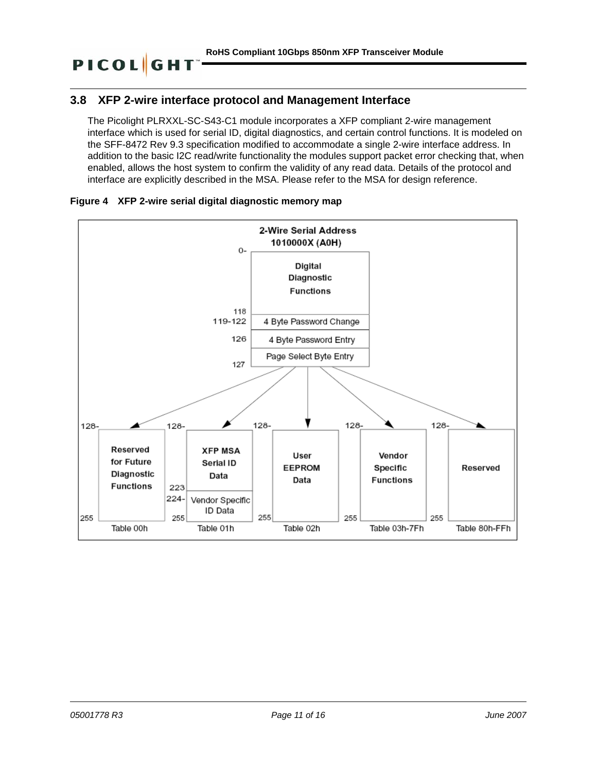# <span id="page-10-0"></span>**3.8 XFP 2-wire interface protocol and Management Interface**

The Picolight PLRXXL-SC-S43-C1 module incorporates a XFP compliant 2-wire management interface which is used for serial ID, digital diagnostics, and certain control functions. It is modeled on the SFF-8472 Rev 9.3 specification modified to accommodate a single 2-wire interface address. In addition to the basic I2C read/write functionality the modules support packet error checking that, when enabled, allows the host system to confirm the validity of any read data. Details of the protocol and interface are explicitly described in the MSA. Please refer to the MSA for design reference.





**PICOL**GH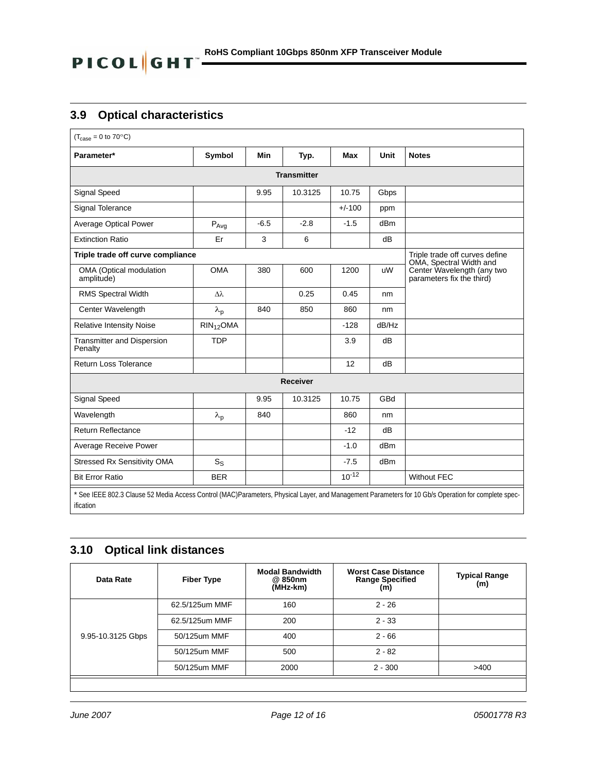# <span id="page-11-0"></span>**3.9 Optical characteristics**

| $(T_{\text{case}} = 0 \text{ to } 70^{\circ}\text{C})$ |                             |        |                    |            |                 |                                                                                                                                                     |
|--------------------------------------------------------|-----------------------------|--------|--------------------|------------|-----------------|-----------------------------------------------------------------------------------------------------------------------------------------------------|
| Parameter*                                             | Symbol                      | Min    | Typ.               | Max        | Unit            | <b>Notes</b>                                                                                                                                        |
|                                                        |                             |        | <b>Transmitter</b> |            |                 |                                                                                                                                                     |
| Signal Speed                                           |                             | 9.95   | 10.3125            | 10.75      | Gbps            |                                                                                                                                                     |
| Signal Tolerance                                       |                             |        |                    | $+/-100$   | ppm             |                                                                                                                                                     |
| <b>Average Optical Power</b>                           | $\mathsf{P}_{\mathsf{Avg}}$ | $-6.5$ | $-2.8$             | $-1.5$     | dBm             |                                                                                                                                                     |
| <b>Extinction Ratio</b>                                | Er                          | 3      | 6                  |            | dB              |                                                                                                                                                     |
| Triple trade off curve compliance                      |                             |        |                    |            |                 | Triple trade off curves define<br>OMA, Spectral Width and                                                                                           |
| OMA (Optical modulation<br>amplitude)                  | <b>OMA</b>                  | 380    | 600                | 1200       | uW              | Center Wavelength (any two<br>parameters fix the third)                                                                                             |
| <b>RMS Spectral Width</b>                              | $\Delta\lambda$             |        | 0.25               | 0.45       | nm              |                                                                                                                                                     |
| Center Wavelength                                      | $\lambda_{\text{p}}$        | 840    | 850                | 860        | nm              |                                                                                                                                                     |
| <b>Relative Intensity Noise</b>                        | $RIN_{12}OMA$               |        |                    | $-128$     | dB/Hz           |                                                                                                                                                     |
| Transmitter and Dispersion<br>Penalty                  | <b>TDP</b>                  |        |                    | 3.9        | dB              |                                                                                                                                                     |
| Return Loss Tolerance                                  |                             |        |                    | 12         | dB              |                                                                                                                                                     |
|                                                        |                             |        | <b>Receiver</b>    |            |                 |                                                                                                                                                     |
| Signal Speed                                           |                             | 9.95   | 10.3125            | 10.75      | GBd             |                                                                                                                                                     |
| Wavelength                                             | $\lambda_{\text{p}}$        | 840    |                    | 860        | nm              |                                                                                                                                                     |
| <b>Return Reflectance</b>                              |                             |        |                    | $-12$      | dB              |                                                                                                                                                     |
| Average Receive Power                                  |                             |        |                    | $-1.0$     | dB <sub>m</sub> |                                                                                                                                                     |
| <b>Stressed Rx Sensitivity OMA</b>                     | $S_S$                       |        |                    | $-7.5$     | dB <sub>m</sub> |                                                                                                                                                     |
| <b>Bit Error Ratio</b>                                 | <b>BER</b>                  |        |                    | $10^{-12}$ |                 | <b>Without FEC</b>                                                                                                                                  |
| ification                                              |                             |        |                    |            |                 | * See IEEE 802.3 Clause 52 Media Access Control (MAC)Parameters, Physical Layer, and Management Parameters for 10 Gb/s Operation for complete spec- |

# <span id="page-11-1"></span>**3.10 Optical link distances**

| Data Rate         | <b>Fiber Type</b> | <b>Modal Bandwidth</b><br>@ 850nm<br>(MHz-km) | <b>Worst Case Distance</b><br><b>Range Specified</b><br>(m) | <b>Typical Range</b><br>(m) |
|-------------------|-------------------|-----------------------------------------------|-------------------------------------------------------------|-----------------------------|
|                   | 62.5/125um MMF    | 160                                           | $2 - 26$                                                    |                             |
| 9.95-10.3125 Gbps | 62.5/125um MMF    | 200                                           | $2 - 33$                                                    |                             |
|                   | 50/125um MMF      | 400                                           | $2 - 66$                                                    |                             |
|                   | 50/125um MMF      | 500                                           | $2 - 82$                                                    |                             |
|                   | 50/125um MMF      | 2000                                          | $2 - 300$                                                   | >400                        |
|                   |                   |                                               |                                                             |                             |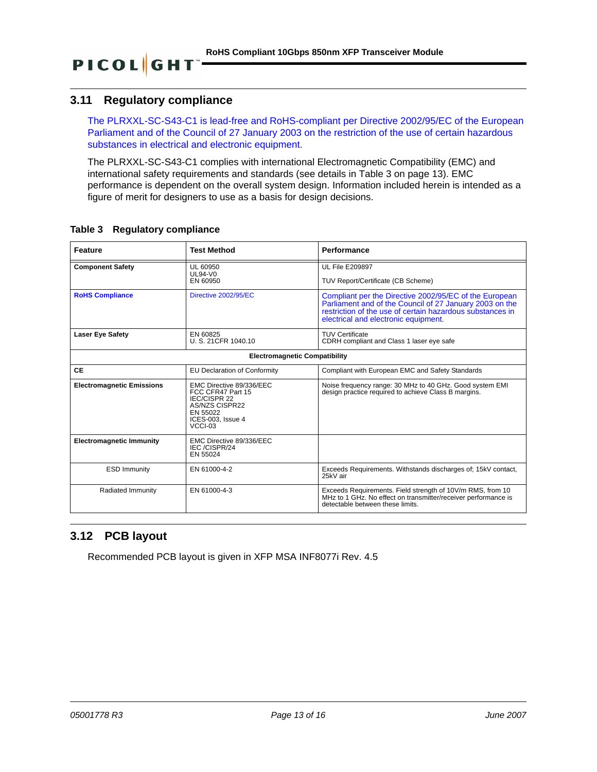# <span id="page-12-0"></span>**3.11 Regulatory compliance**

**PICOL**GHT

The PLRXXL-SC-S43-C1 is lead-free and RoHS-compliant per Directive 2002/95/EC of the European Parliament and of the Council of 27 January 2003 on the restriction of the use of certain hazardous substances in electrical and electronic equipment.

The PLRXXL-SC-S43-C1 complies with international Electromagnetic Compatibility (EMC) and international safety requirements and standards (see details in [Table 3 on page 13](#page-12-2)). EMC performance is dependent on the overall system design. Information included herein is intended as a figure of merit for designers to use as a basis for design decisions.

| <b>Feature</b>                       | <b>Test Method</b>                                                                                                                        | Performance                                                                                                                                                                                                            |  |  |  |  |  |
|--------------------------------------|-------------------------------------------------------------------------------------------------------------------------------------------|------------------------------------------------------------------------------------------------------------------------------------------------------------------------------------------------------------------------|--|--|--|--|--|
| <b>Component Safety</b>              | UL 60950<br><b>UL94-V0</b>                                                                                                                | <b>UL File E209897</b>                                                                                                                                                                                                 |  |  |  |  |  |
|                                      | EN 60950                                                                                                                                  | TUV Report/Certificate (CB Scheme)                                                                                                                                                                                     |  |  |  |  |  |
| <b>RoHS Compliance</b>               | Directive 2002/95/EC                                                                                                                      | Compliant per the Directive 2002/95/EC of the European<br>Parliament and of the Council of 27 January 2003 on the<br>restriction of the use of certain hazardous substances in<br>electrical and electronic equipment. |  |  |  |  |  |
| <b>Laser Eye Safety</b>              | EN 60825<br>U. S. 21CFR 1040.10                                                                                                           | <b>TUV Certificate</b><br>CDRH compliant and Class 1 laser eye safe                                                                                                                                                    |  |  |  |  |  |
| <b>Electromagnetic Compatibility</b> |                                                                                                                                           |                                                                                                                                                                                                                        |  |  |  |  |  |
| <b>CE</b>                            | <b>EU Declaration of Conformity</b>                                                                                                       | Compliant with European EMC and Safety Standards                                                                                                                                                                       |  |  |  |  |  |
| <b>Electromagnetic Emissions</b>     | EMC Directive 89/336/EEC<br>FCC CFR47 Part 15<br><b>IEC/CISPR 22</b><br><b>AS/NZS CISPR22</b><br>EN 55022<br>ICES-003. Issue 4<br>VCCI-03 | Noise frequency range: 30 MHz to 40 GHz. Good system EMI<br>design practice required to achieve Class B margins.                                                                                                       |  |  |  |  |  |
| <b>Electromagnetic Immunity</b>      | EMC Directive 89/336/EEC<br>IEC/CISPR/24<br>EN 55024                                                                                      |                                                                                                                                                                                                                        |  |  |  |  |  |
| <b>ESD Immunity</b>                  | EN 61000-4-2                                                                                                                              | Exceeds Requirements. Withstands discharges of; 15kV contact,<br>25kV air                                                                                                                                              |  |  |  |  |  |
| Radiated Immunity                    | EN 61000-4-3                                                                                                                              | Exceeds Requirements. Field strength of 10V/m RMS, from 10<br>MHz to 1 GHz. No effect on transmitter/receiver performance is<br>detectable between these limits.                                                       |  |  |  |  |  |

### <span id="page-12-2"></span>**Table 3 Regulatory compliance**

# <span id="page-12-1"></span>**3.12 PCB layout**

Recommended PCB layout is given in XFP MSA INF8077i Rev. 4.5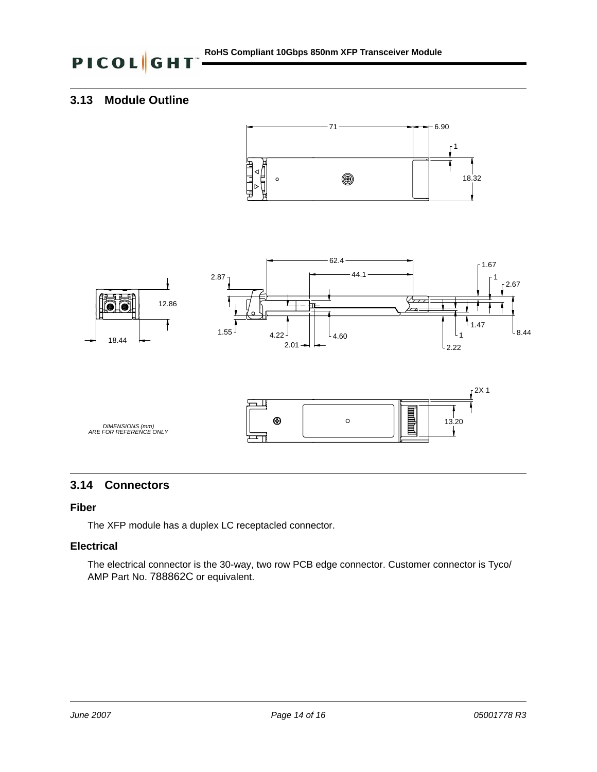# <span id="page-13-0"></span>**3.13 Module Outline**





# <span id="page-13-1"></span>**3.14 Connectors**

### **Fiber**

The XFP module has a duplex LC receptacled connector.

## **Electrical**

The electrical connector is the 30-way, two row PCB edge connector. Customer connector is Tyco/ AMP Part No. 788862C or equivalent.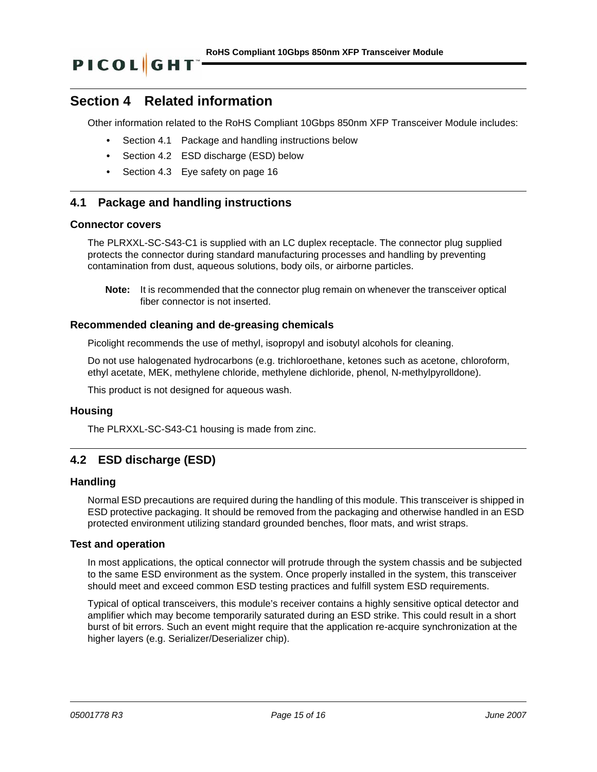# **Section 4 Related information**

Other information related to the RoHS Compliant 10Gbps 850nm XFP Transceiver Module includes:

- **•** [Section 4.1 Package and handling instructions below](#page-14-0)
- **•** [Section 4.2 ESD discharge \(ESD\) below](#page-14-1)
- **•** [Section 4.3 Eye safety on page 16](#page-15-0)

## <span id="page-14-0"></span>**4.1 Package and handling instructions**

### **Connector covers**

The PLRXXL-SC-S43-C1 is supplied with an LC duplex receptacle. The connector plug supplied protects the connector during standard manufacturing processes and handling by preventing contamination from dust, aqueous solutions, body oils, or airborne particles.

**Note:** It is recommended that the connector plug remain on whenever the transceiver optical fiber connector is not inserted.

### **Recommended cleaning and de-greasing chemicals**

Picolight recommends the use of methyl, isopropyl and isobutyl alcohols for cleaning.

Do not use halogenated hydrocarbons (e.g. trichloroethane, ketones such as acetone, chloroform, ethyl acetate, MEK, methylene chloride, methylene dichloride, phenol, N-methylpyrolldone).

This product is not designed for aqueous wash.

### **Housing**

The PLRXXL-SC-S43-C1 housing is made from zinc.

# <span id="page-14-1"></span>**4.2 ESD discharge (ESD)**

### **Handling**

Normal ESD precautions are required during the handling of this module. This transceiver is shipped in ESD protective packaging. It should be removed from the packaging and otherwise handled in an ESD protected environment utilizing standard grounded benches, floor mats, and wrist straps.

### **Test and operation**

In most applications, the optical connector will protrude through the system chassis and be subjected to the same ESD environment as the system. Once properly installed in the system, this transceiver should meet and exceed common ESD testing practices and fulfill system ESD requirements.

Typical of optical transceivers, this module's receiver contains a highly sensitive optical detector and amplifier which may become temporarily saturated during an ESD strike. This could result in a short burst of bit errors. Such an event might require that the application re-acquire synchronization at the higher layers (e.g. Serializer/Deserializer chip).